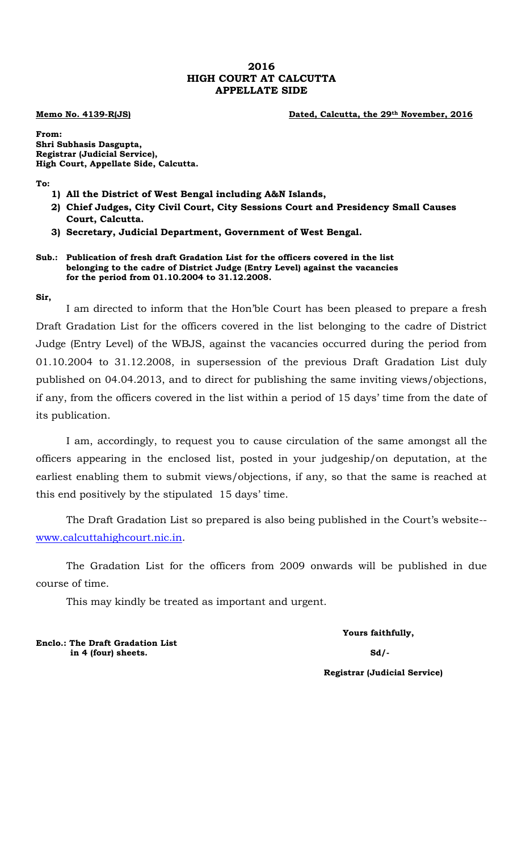## **2016 HIGH COURT AT CALCUTTA APPELLATE SIDE**

**Memo No. 4139-R(JS) Dated, Calcutta, the 29th November, 2016**

**From: Shri Subhasis Dasgupta, Registrar (Judicial Service), High Court, Appellate Side, Calcutta.**

**To:**

- **1) All the District of West Bengal including A&N Islands,**
- **2) Chief Judges, City Civil Court, City Sessions Court and Presidency Small Causes Court, Calcutta.**
- **3) Secretary, Judicial Department, Government of West Bengal.**

## **Sub.: Publication of fresh draft Gradation List for the officers covered in the list belonging to the cadre of District Judge (Entry Level) against the vacancies for the period from 01.10.2004 to 31.12.2008.**

## **Sir,**

I am directed to inform that the Hon'ble Court has been pleased to prepare a fresh Draft Gradation List for the officers covered in the list belonging to the cadre of District Judge (Entry Level) of the WBJS, against the vacancies occurred during the period from 01.10.2004 to 31.12.2008, in supersession of the previous Draft Gradation List duly published on 04.04.2013, and to direct for publishing the same inviting views/objections, if any, from the officers covered in the list within a period of 15 days' time from the date of its publication.

I am, accordingly, to request you to cause circulation of the same amongst all the officers appearing in the enclosed list, posted in your judgeship/on deputation, at the earliest enabling them to submit views/objections, if any, so that the same is reached at this end positively by the stipulated 15 days' time.

The Draft Gradation List so prepared is also being published in the Court's website- www.calcuttahighcourt.nic.in.

The Gradation List for the officers from 2009 onwards will be published in due course of time.

This may kindly be treated as important and urgent.

**Yours faithfully,**

**Registrar (Judicial Service)**

**Enclo.: The Draft Gradation List in 4 (four) sheets. Sd/-**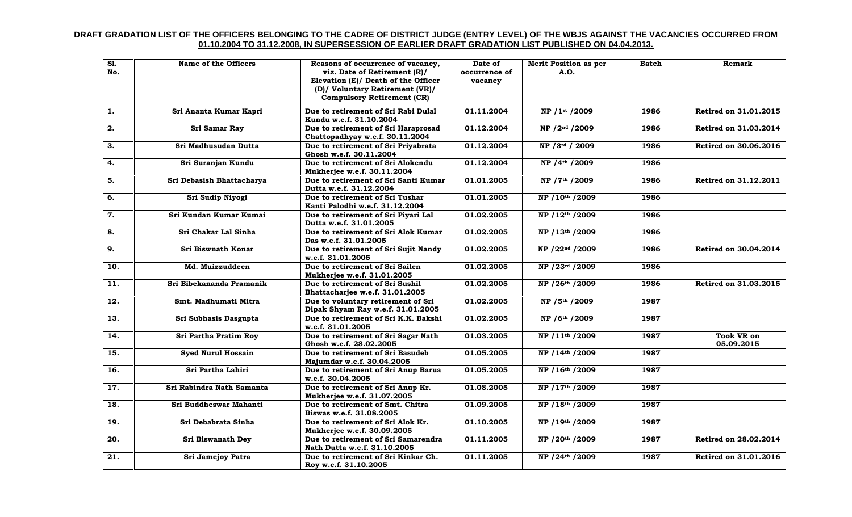## **DRAFT GRADATION LIST OF THE OFFICERS BELONGING TO THE CADRE OF DISTRICT JUDGE (ENTRY LEVEL) OF THE WBJS AGAINST THE VACANCIES OCCURRED FROM 01.10.2004 TO 31.12.2008, IN SUPERSESSION OF EARLIER DRAFT GRADATION LIST PUBLISHED ON 04.04.2013.**

| SI.<br>No.        | Name of the Officers      | Reasons of occurrence of vacancy,<br>viz. Date of Retirement (R)/<br>Elevation (E)/ Death of the Officer<br>(D)/ Voluntary Retirement (VR)/<br><b>Compulsory Retirement (CR)</b> | Date of<br>occurrence of<br>vacancy | <b>Merit Position as per</b><br>A.O. | <b>Batch</b> | Remark                          |
|-------------------|---------------------------|----------------------------------------------------------------------------------------------------------------------------------------------------------------------------------|-------------------------------------|--------------------------------------|--------------|---------------------------------|
| 1.                | Sri Ananta Kumar Kapri    | Due to retirement of Sri Rabi Dulal<br>Kundu w.e.f. 31.10.2004                                                                                                                   | 01.11.2004                          | NP / 1st / 2009                      | 1986         | Retired on 31.01.2015           |
| 2.                | Sri Samar Ray             | Due to retirement of Sri Haraprosad<br>Chattopadhyay w.e.f. 30.11.2004                                                                                                           | 01.12.2004                          | NP / 2nd / 2009                      | 1986         | Retired on 31.03.2014           |
| 3.                | Sri Madhusudan Dutta      | Due to retirement of Sri Priyabrata<br>Ghosh w.e.f. 30.11.2004                                                                                                                   | 01.12.2004                          | NP / 3rd / 2009                      | 1986         | Retired on 30.06.2016           |
| 4.                | Sri Suranjan Kundu        | Due to retirement of Sri Alokendu<br>Mukherjee w.e.f. 30.11.2004                                                                                                                 | 01.12.2004                          | NP / 4th / 2009                      | 1986         |                                 |
| $\overline{5}$ .  | Sri Debasish Bhattacharya | Due to retirement of Sri Santi Kumar<br>Dutta w.e.f. 31.12.2004                                                                                                                  | 01.01.2005                          | NP / 7th / 2009                      | 1986         | Retired on 31.12.2011           |
| 6.                | Sri Sudip Niyogi          | Due to retirement of Sri Tushar<br>Kanti Palodhi w.e.f. 31.12.2004                                                                                                               | 01.01.2005                          | NP / 10th / 2009                     | 1986         |                                 |
| 7.                | Sri Kundan Kumar Kumai    | Due to retirement of Sri Piyari Lal<br>Dutta w.e.f. 31.01.2005                                                                                                                   | 01.02.2005                          | NP / 12th / 2009                     | 1986         |                                 |
| 8.                | Sri Chakar Lal Sinha      | Due to retirement of Sri Alok Kumar<br>Das w.e.f. 31.01.2005                                                                                                                     | 01.02.2005                          | NP / 13th / 2009                     | 1986         |                                 |
| 9.                | Sri Biswnath Konar        | Due to retirement of Sri Sujit Nandy<br>w.e.f. 31.01.2005                                                                                                                        | 01.02.2005                          | NP / 22 <sup>nd</sup> / 2009         | 1986         | Retired on 30.04.2014           |
| 10.               | Md. Muizzuddeen           | Due to retirement of Sri Sailen<br>Mukherjee w.e.f. 31.01.2005                                                                                                                   | 01.02.2005                          | NP / 23rd / 2009                     | 1986         |                                 |
| 11.               | Sri Bibekananda Pramanik  | Due to retirement of Sri Sushil<br>Bhattacharjee w.e.f. 31.01.2005                                                                                                               | 01.02.2005                          | NP / 26th / 2009                     | 1986         | Retired on 31.03.2015           |
| $\overline{12}$ . | Smt. Madhumati Mitra      | Due to voluntary retirement of Sri<br>Dipak Shyam Ray w.e.f. 31.01.2005                                                                                                          | 01.02.2005                          | NP / 5th / 2009                      | 1987         |                                 |
| 13.               | Sri Subhasis Dasgupta     | Due to retirement of Sri K.K. Bakshi<br>w.e.f. 31.01.2005                                                                                                                        | 01.02.2005                          | NP /6th /2009                        | 1987         |                                 |
| 14.               | Sri Partha Pratim Roy     | Due to retirement of Sri Sagar Nath<br>Ghosh w.e.f. 28.02.2005                                                                                                                   | 01.03.2005                          | NP / 11th / 2009                     | 1987         | <b>Took VR on</b><br>05.09.2015 |
| 15.               | <b>Syed Nurul Hossain</b> | Due to retirement of Sri Basudeb<br>Majumdar w.e.f. 30.04.2005                                                                                                                   | 01.05.2005                          | NP / 14th / 2009                     | 1987         |                                 |
| 16.               | Sri Partha Lahiri         | Due to retirement of Sri Anup Barua<br>w.e.f. 30.04.2005                                                                                                                         | 01.05.2005                          | NP / 16th / 2009                     | 1987         |                                 |
| 17.               | Sri Rabindra Nath Samanta | Due to retirement of Sri Anup Kr.<br>Mukherjee w.e.f. 31.07.2005                                                                                                                 | 01.08.2005                          | NP / 17th / 2009                     | 1987         |                                 |
| 18.               | Sri Buddheswar Mahanti    | Due to retirement of Smt. Chitra<br>Biswas w.e.f. 31.08.2005                                                                                                                     | 01.09.2005                          | NP / 18th / 2009                     | 1987         |                                 |
| 19.               | Sri Debabrata Sinha       | Due to retirement of Sri Alok Kr.<br>Mukherjee w.e.f. 30.09.2005                                                                                                                 | 01.10.2005                          | NP / 19th / 2009                     | 1987         |                                 |
| 20.               | Sri Biswanath Dey         | Due to retirement of Sri Samarendra<br>Nath Dutta w.e.f. 31.10.2005                                                                                                              | 01.11.2005                          | NP / 20th / 2009                     | 1987         | Retired on 28.02.2014           |
| 21.               | Sri Jamejoy Patra         | Due to retirement of Sri Kinkar Ch.<br>Roy w.e.f. 31.10.2005                                                                                                                     | 01.11.2005                          | NP / 24th / 2009                     | 1987         | Retired on 31.01.2016           |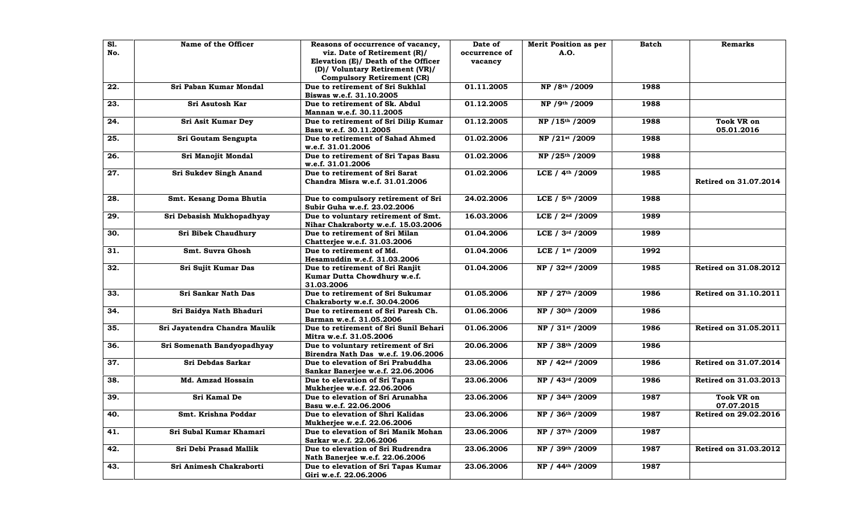| <b>S1.</b><br>No. | Name of the Officer           | Reasons of occurrence of vacancy,<br>viz. Date of Retirement (R)/<br>Elevation (E)/ Death of the Officer | Date of<br>occurrence of<br>vacancy | Merit Position as per<br>A.O.    | <b>Batch</b> | <b>Remarks</b>                  |
|-------------------|-------------------------------|----------------------------------------------------------------------------------------------------------|-------------------------------------|----------------------------------|--------------|---------------------------------|
|                   |                               | (D)/ Voluntary Retirement (VR)/<br><b>Compulsory Retirement (CR)</b>                                     |                                     |                                  |              |                                 |
| 22.               | Sri Paban Kumar Mondal        | Due to retirement of Sri Sukhlal<br>Biswas w.e.f. 31.10.2005                                             | 01.11.2005                          | NP / 8th / 2009                  | 1988         |                                 |
| 23.               | Sri Asutosh Kar               | Due to retirement of Sk. Abdul<br>Mannan w.e.f. 30.11.2005                                               | 01.12.2005                          | NP / 9th / 2009                  | 1988         |                                 |
| 24.               | Sri Asit Kumar Dey            | Due to retirement of Sri Dilip Kumar<br>Basu w.e.f. 30.11.2005                                           | 01.12.2005                          | NP / 15th / 2009                 | 1988         | <b>Took VR on</b><br>05.01.2016 |
| 25.               | Sri Goutam Sengupta           | Due to retirement of Sahad Ahmed<br>w.e.f. 31.01.2006                                                    | 01.02.2006                          | NP / 21st / 2009                 | 1988         |                                 |
| 26.               | Sri Manojit Mondal            | Due to retirement of Sri Tapas Basu<br>w.e.f. 31.01.2006                                                 | 01.02.2006                          | NP / 25th / 2009                 | 1988         |                                 |
| 27.               | Sri Sukdev Singh Anand        | Due to retirement of Sri Sarat<br>Chandra Misra w.e.f. 31.01.2006                                        | 01.02.2006                          | LCE / $4th$ / 2009               | 1985         | Retired on 31.07.2014           |
| 28.               | Smt. Kesang Doma Bhutia       | Due to compulsory retirement of Sri<br>Subir Guha w.e.f. 23.02.2006                                      | 24.02.2006                          | LCE / 5th / 2009                 | 1988         |                                 |
| 29.               | Sri Debasish Mukhopadhyay     | Due to voluntary retirement of Smt.<br>Nihar Chakraborty w.e.f. 15.03.2006                               | 16.03.2006                          | LCE $/ 2^{nd} / 2009$            | 1989         |                                 |
| 30.               | Sri Bibek Chaudhury           | Due to retirement of Sri Milan<br>Chatterjee w.e.f. 31.03.2006                                           | 01.04.2006                          | LCE / 3rd / 2009                 | 1989         |                                 |
| 31.               | Smt. Suvra Ghosh              | Due to retirement of Md.<br>Hesamuddin w.e.f. 31.03.2006                                                 | 01.04.2006                          | LCE $/ 1$ <sup>st</sup> $/ 2009$ | 1992         |                                 |
| 32.               | Sri Sujit Kumar Das           | Due to retirement of Sri Ranjit<br>Kumar Dutta Chowdhury w.e.f.<br>31.03.2006                            | 01.04.2006                          | NP / 32 <sup>nd</sup> /2009      | 1985         | Retired on 31.08.2012           |
| 33.               | Sri Sankar Nath Das           | Due to retirement of Sri Sukumar<br>Chakraborty w.e.f. 30.04.2006                                        | 01.05.2006                          | NP / 27th / 2009                 | 1986         | Retired on 31.10.2011           |
| 34.               | Sri Baidya Nath Bhaduri       | Due to retirement of Sri Paresh Ch.<br>Barman w.e.f. 31.05.2006                                          | 01.06.2006                          | NP / 30th / 2009                 | 1986         |                                 |
| 35.               | Sri Jayatendra Chandra Maulik | Due to retirement of Sri Sunil Behari<br>Mitra w.e.f. 31.05.2006                                         | 01.06.2006                          | NP / 31st / 2009                 | 1986         | Retired on 31.05.2011           |
| 36.               | Sri Somenath Bandyopadhyay    | Due to voluntary retirement of Sri<br>Birendra Nath Das w.e.f. 19.06.2006                                | 20.06.2006                          | NP / 38th / 2009                 | 1986         |                                 |
| 37.               | Sri Debdas Sarkar             | Due to elevation of Sri Prabuddha<br>Sankar Banerjee w.e.f. 22.06.2006                                   | 23.06.2006                          | NP / 42 <sup>nd</sup> /2009      | 1986         | <b>Retired on 31.07.2014</b>    |
| 38.               | Md. Amzad Hossain             | Due to elevation of Sri Tapan<br>Mukherjee w.e.f. 22.06.2006                                             | 23.06.2006                          | NP / 43rd / 2009                 | 1986         | Retired on 31.03.2013           |
| 39.               | Sri Kamal De                  | Due to elevation of Sri Arunabha<br>Basu w.e.f. 22.06.2006                                               | 23.06.2006                          | NP / 34th / 2009                 | 1987         | <b>Took VR on</b><br>07.07.2015 |
| 40.               | Smt. Krishna Poddar           | Due to elevation of Shri Kalidas<br>Mukherjee w.e.f. 22.06.2006                                          | 23.06.2006                          | NP / 36th / 2009                 | 1987         | Retired on 29.02.2016           |
| 41.               | Sri Subal Kumar Khamari       | Due to elevation of Sri Manik Mohan<br>Sarkar w.e.f. 22.06.2006                                          | 23.06.2006                          | NP / 37th / 2009                 | 1987         |                                 |
| 42.               | Sri Debi Prasad Mallik        | Due to elevation of Sri Rudrendra<br>Nath Banerjee w.e.f. 22.06.2006                                     | 23.06.2006                          | NP / 39th / 2009                 | 1987         | Retired on 31.03.2012           |
| 43.               | Sri Animesh Chakraborti       | Due to elevation of Sri Tapas Kumar<br>Giri w.e.f. 22.06.2006                                            | 23.06.2006                          | NP / 44th / 2009                 | 1987         |                                 |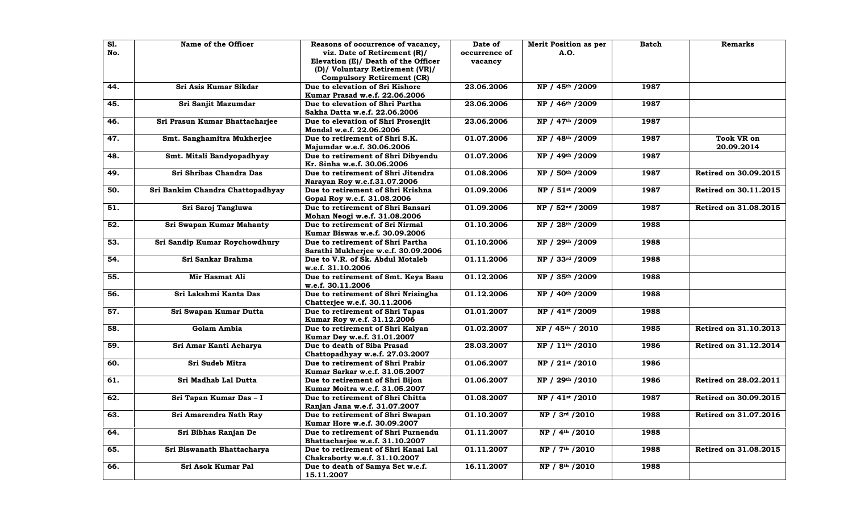| SI.<br>No. | Name of the Officer              | Reasons of occurrence of vacancy,<br>viz. Date of Retirement (R)/<br>Elevation (E)/ Death of the Officer<br>(D)/ Voluntary Retirement (VR)/<br><b>Compulsory Retirement (CR)</b> | Date of<br>occurrence of<br>vacancy | <b>Merit Position as per</b><br>A.O. | Batch | Remarks                         |
|------------|----------------------------------|----------------------------------------------------------------------------------------------------------------------------------------------------------------------------------|-------------------------------------|--------------------------------------|-------|---------------------------------|
| 44.        | Sri Asis Kumar Sikdar            | Due to elevation of Sri Kishore<br>Kumar Prasad w.e.f. 22.06.2006                                                                                                                | 23.06.2006                          | NP / 45th / 2009                     | 1987  |                                 |
| 45.        | Sri Sanjit Mazumdar              | Due to elevation of Shri Partha<br>Sakha Datta w.e.f. 22.06.2006                                                                                                                 | 23.06.2006                          | NP / 46th / 2009                     | 1987  |                                 |
| 46.        | Sri Prasun Kumar Bhattacharjee   | Due to elevation of Shri Prosenjit<br>Mondal w.e.f. 22.06.2006                                                                                                                   | 23.06.2006                          | NP / 47th / 2009                     | 1987  |                                 |
| 47.        | Smt. Sanghamitra Mukherjee       | Due to retirement of Shri S.K.<br>Majumdar w.e.f. 30.06.2006                                                                                                                     | 01.07.2006                          | NP / 48th / 2009                     | 1987  | <b>Took VR on</b><br>20.09.2014 |
| 48.        | Smt. Mitali Bandyopadhyay        | Due to retirement of Shri Dibyendu<br>Kr. Sinha w.e.f. 30.06.2006                                                                                                                | 01.07.2006                          | NP / 49th / 2009                     | 1987  |                                 |
| 49.        | Sri Shribas Chandra Das          | Due to retirement of Shri Jitendra<br>Narayan Roy w.e.f.31.07.2006                                                                                                               | 01.08.2006                          | NP / 50th / 2009                     | 1987  | Retired on 30.09.2015           |
| 50.        | Sri Bankim Chandra Chattopadhyay | Due to retirement of Shri Krishna<br>Gopal Roy w.e.f. 31.08.2006                                                                                                                 | 01.09.2006                          | NP / 51st / 2009                     | 1987  | Retired on 30.11.2015           |
| 51.        | Sri Saroj Tangluwa               | Due to retirement of Shri Bansari<br>Mohan Neogi w.e.f. 31.08.2006                                                                                                               | 01.09.2006                          | NP / 52 <sup>nd</sup> /2009          | 1987  | Retired on 31.08.2015           |
| 52.        | Sri Swapan Kumar Mahanty         | Due to retirement of Sri Nirmal<br>Kumar Biswas w.e.f. 30.09.2006                                                                                                                | 01.10.2006                          | NP / 28th / 2009                     | 1988  |                                 |
| 53.        | Sri Sandip Kumar Roychowdhury    | Due to retirement of Shri Partha<br>Sarathi Mukherjee w.e.f. 30.09.2006                                                                                                          | 01.10.2006                          | NP / 29th / 2009                     | 1988  |                                 |
| 54.        | Sri Sankar Brahma                | Due to V.R. of Sk. Abdul Motaleb<br>w.e.f. 31.10.2006                                                                                                                            | 01.11.2006                          | NP / 33rd / 2009                     | 1988  |                                 |
| 55.        | Mir Hasmat Ali                   | Due to retirement of Smt. Keya Basu<br>w.e.f. 30.11.2006                                                                                                                         | 01.12.2006                          | NP / 35th / 2009                     | 1988  |                                 |
| 56.        | Sri Lakshmi Kanta Das            | Due to retirement of Shri Nrisingha<br>Chatterjee w.e.f. 30.11.2006                                                                                                              | 01.12.2006                          | NP / 40th / 2009                     | 1988  |                                 |
| 57.        | Sri Swapan Kumar Dutta           | Due to retirement of Shri Tapas<br>Kumar Roy w.e.f. 31.12.2006                                                                                                                   | 01.01.2007                          | NP / 41st / 2009                     | 1988  |                                 |
| 58.        | <b>Golam Ambia</b>               | Due to retirement of Shri Kalyan<br>Kumar Dey w.e.f. 31.01.2007                                                                                                                  | 01.02.2007                          | NP / 45th / 2010                     | 1985  | Retired on 31.10.2013           |
| 59.        | Sri Amar Kanti Acharya           | Due to death of Siba Prasad<br>Chattopadhyay w.e.f. 27.03.2007                                                                                                                   | 28.03.2007                          | NP / 11 <sup>th</sup> /2010          | 1986  | <b>Retired on 31.12.2014</b>    |
| 60.        | Sri Sudeb Mitra                  | Due to retirement of Shri Prabir<br>Kumar Sarkar w.e.f. 31.05.2007                                                                                                               | 01.06.2007                          | NP / 21st / 2010                     | 1986  |                                 |
| 61.        | Sri Madhab Lal Dutta             | Due to retirement of Shri Bijon<br>Kumar Moitra w.e.f. 31.05.2007                                                                                                                | 01.06.2007                          | NP / 29th / 2010                     | 1986  | Retired on 28.02.2011           |
| 62.        | Sri Tapan Kumar Das - I          | Due to retirement of Shri Chitta<br>Ranjan Jana w.e.f. 31.07.2007                                                                                                                | 01.08.2007                          | NP / 41st / 2010                     | 1987  | <b>Retired on 30.09.2015</b>    |
| 63.        | Sri Amarendra Nath Ray           | Due to retirement of Shri Swapan<br>Kumar Hore w.e.f. 30.09.2007                                                                                                                 | 01.10.2007                          | NP / 3rd / 2010                      | 1988  | <b>Retired on 31.07.2016</b>    |
| 64.        | Sri Bibhas Ranjan De             | Due to retirement of Shri Purnendu<br>Bhattacharjee w.e.f. 31.10.2007                                                                                                            | 01.11.2007                          | NP / 4 <sup>th</sup> /2010           | 1988  |                                 |
| 65.        | Sri Biswanath Bhattacharya       | Due to retirement of Shri Kanai Lal<br>Chakraborty w.e.f. 31.10.2007                                                                                                             | 01.11.2007                          | NP / 7th / 2010                      | 1988  | Retired on 31.08.2015           |
| 66.        | Sri Asok Kumar Pal               | Due to death of Samya Set w.e.f.<br>15.11.2007                                                                                                                                   | 16.11.2007                          | NP / 8th / 2010                      | 1988  |                                 |